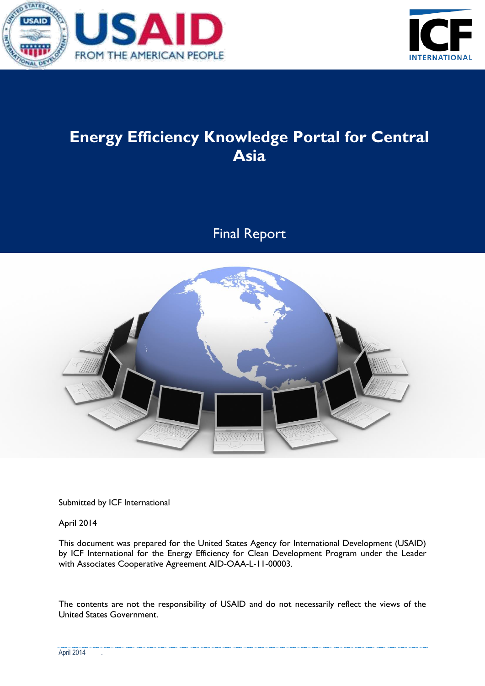



# **Energy Efficiency Knowledge Portal for Central Asia**

Final Report



Submitted by ICF International

April 2014

This document was prepared for the United States Agency for International Development (USAID) by ICF International for the Energy Efficiency for Clean Development Program under the Leader with Associates Cooperative Agreement AID-OAA-L-11-00003.

The contents are not the responsibility of USAID and do not necessarily reflect the views of the United States Government.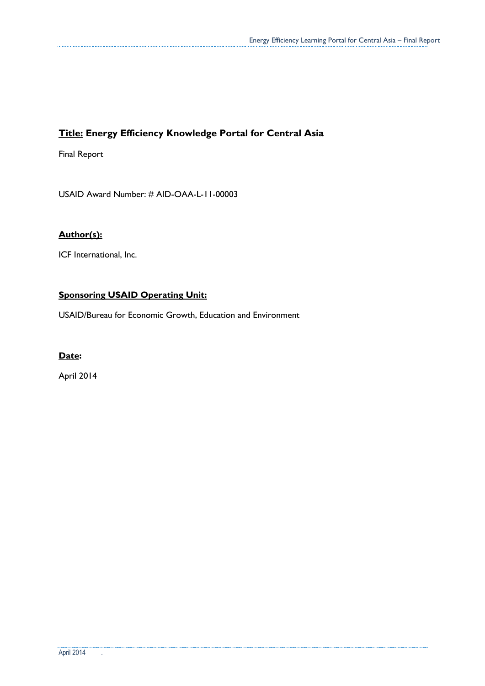### **Title: Energy Efficiency Knowledge Portal for Central Asia**

Final Report

USAID Award Number: # AID-OAA-L-11-00003

#### **Author(s):**

ICF International, Inc.

#### **Sponsoring USAID Operating Unit:**

USAID/Bureau for Economic Growth, Education and Environment

#### **Date:**

April 2014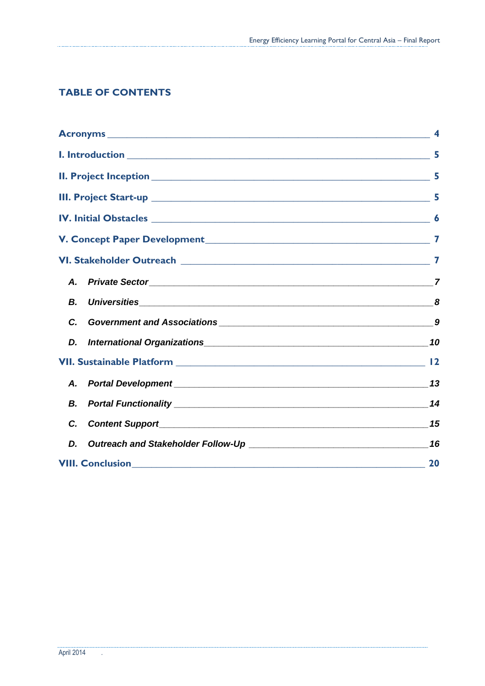### **TABLE OF CONTENTS**

|    | $\boldsymbol{4}$ |
|----|------------------|
|    | 5                |
|    |                  |
|    |                  |
|    |                  |
|    |                  |
|    |                  |
| А. |                  |
| В. | 8                |
| C. |                  |
| D. |                  |
|    |                  |
| А. |                  |
| В. |                  |
| C. |                  |
| D. |                  |
|    | 20               |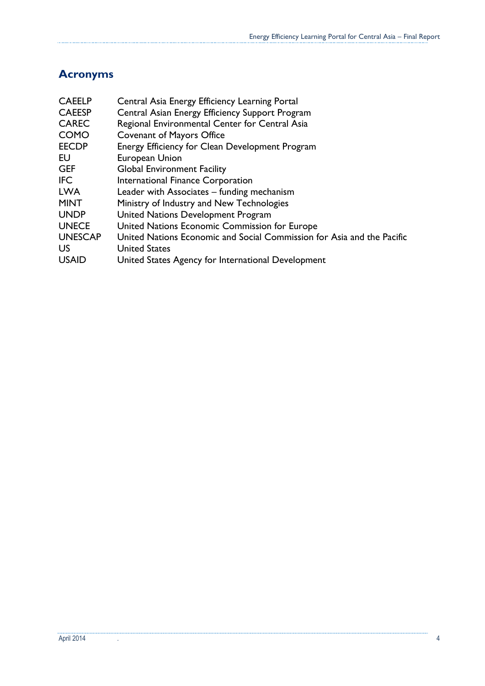# <span id="page-3-0"></span>**Acronyms**

......

. . . . . . . . . . . . .

| <b>CAEELP</b>  | Central Asia Energy Efficiency Learning Portal                         |
|----------------|------------------------------------------------------------------------|
| <b>CAEESP</b>  | Central Asian Energy Efficiency Support Program                        |
| <b>CAREC</b>   | Regional Environmental Center for Central Asia                         |
| <b>COMO</b>    | <b>Covenant of Mayors Office</b>                                       |
| <b>EECDP</b>   | Energy Efficiency for Clean Development Program                        |
| EU             | European Union                                                         |
| <b>GEF</b>     | <b>Global Environment Facility</b>                                     |
| <b>IFC</b>     | International Finance Corporation                                      |
| <b>LWA</b>     | Leader with Associates – funding mechanism                             |
| <b>MINT</b>    | Ministry of Industry and New Technologies                              |
| <b>UNDP</b>    | United Nations Development Program                                     |
| <b>UNECE</b>   | United Nations Economic Commission for Europe                          |
| <b>UNESCAP</b> | United Nations Economic and Social Commission for Asia and the Pacific |
| US             | <b>United States</b>                                                   |
| <b>USAID</b>   | United States Agency for International Development                     |
|                |                                                                        |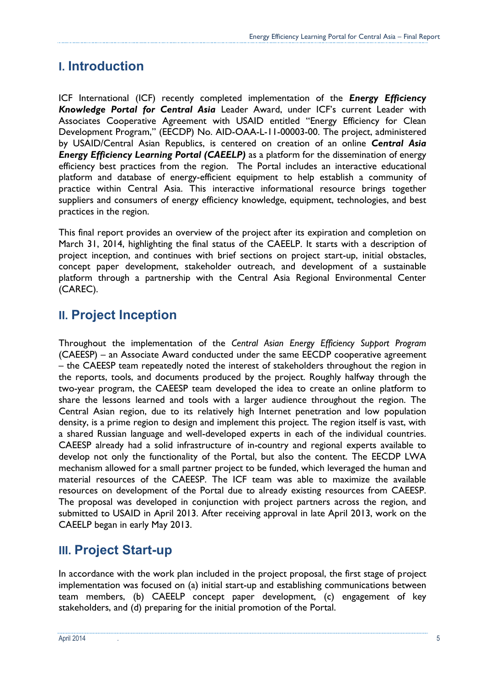# <span id="page-4-0"></span>**I. Introduction**

ICF International (ICF) recently completed implementation of the *Energy Efficiency Knowledge Portal for Central Asia* Leader Award, under ICF's current Leader with Associates Cooperative Agreement with USAID entitled "Energy Efficiency for Clean Development Program," (EECDP) No. AID-OAA-L-11-00003-00. The project, administered by USAID/Central Asian Republics, is centered on creation of an online *Central Asia Energy Efficiency Learning Portal (CAEELP)* as a platform for the dissemination of energy efficiency best practices from the region. The Portal includes an interactive educational platform and database of energy-efficient equipment to help establish a community of practice within Central Asia. This interactive informational resource brings together suppliers and consumers of energy efficiency knowledge, equipment, technologies, and best practices in the region.

This final report provides an overview of the project after its expiration and completion on March 31, 2014, highlighting the final status of the CAEELP. It starts with a description of project inception, and continues with brief sections on project start-up, initial obstacles, concept paper development, stakeholder outreach, and development of a sustainable platform through a partnership with the Central Asia Regional Environmental Center (CAREC).

# <span id="page-4-1"></span>**II. Project Inception**

Throughout the implementation of the *Central Asian Energy Efficiency Support Program*  (CAEESP) – an Associate Award conducted under the same EECDP cooperative agreement – the CAEESP team repeatedly noted the interest of stakeholders throughout the region in the reports, tools, and documents produced by the project. Roughly halfway through the two-year program, the CAEESP team developed the idea to create an online platform to share the lessons learned and tools with a larger audience throughout the region. The Central Asian region, due to its relatively high Internet penetration and low population density, is a prime region to design and implement this project. The region itself is vast, with a shared Russian language and well-developed experts in each of the individual countries. CAEESP already had a solid infrastructure of in-country and regional experts available to develop not only the functionality of the Portal, but also the content. The EECDP LWA mechanism allowed for a small partner project to be funded, which leveraged the human and material resources of the CAEESP. The ICF team was able to maximize the available resources on development of the Portal due to already existing resources from CAEESP. The proposal was developed in conjunction with project partners across the region, and submitted to USAID in April 2013. After receiving approval in late April 2013, work on the CAEELP began in early May 2013.

# <span id="page-4-2"></span>**III. Project Start-up**

In accordance with the work plan included in the project proposal, the first stage of project implementation was focused on (a) initial start-up and establishing communications between team members, (b) CAEELP concept paper development, (c) engagement of key stakeholders, and (d) preparing for the initial promotion of the Portal.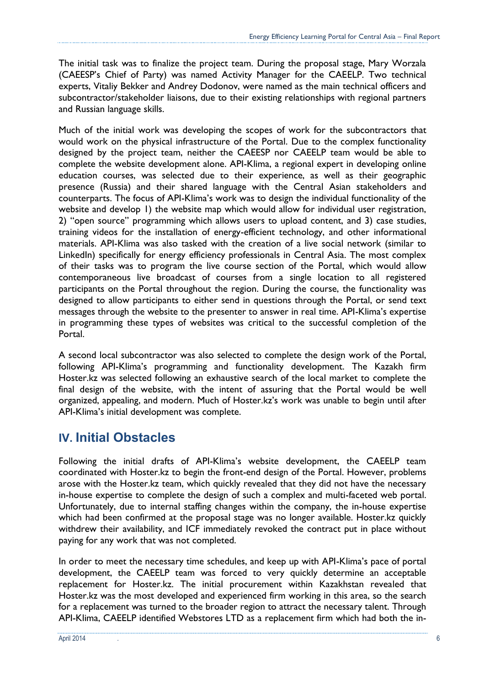The initial task was to finalize the project team. During the proposal stage, Mary Worzala (CAEESP's Chief of Party) was named Activity Manager for the CAEELP. Two technical experts, Vitaliy Bekker and Andrey Dodonov, were named as the main technical officers and subcontractor/stakeholder liaisons, due to their existing relationships with regional partners and Russian language skills.

Much of the initial work was developing the scopes of work for the subcontractors that would work on the physical infrastructure of the Portal. Due to the complex functionality designed by the project team, neither the CAEESP nor CAEELP team would be able to complete the website development alone. API-Klima, a regional expert in developing online education courses, was selected due to their experience, as well as their geographic presence (Russia) and their shared language with the Central Asian stakeholders and counterparts. The focus of API-Klima's work was to design the individual functionality of the website and develop 1) the website map which would allow for individual user registration, 2) "open source" programming which allows users to upload content, and 3) case studies, training videos for the installation of energy-efficient technology, and other informational materials. API-Klima was also tasked with the creation of a live social network (similar to LinkedIn) specifically for energy efficiency professionals in Central Asia. The most complex of their tasks was to program the live course section of the Portal, which would allow contemporaneous live broadcast of courses from a single location to all registered participants on the Portal throughout the region. During the course, the functionality was designed to allow participants to either send in questions through the Portal, or send text messages through the website to the presenter to answer in real time. API-Klima's expertise in programming these types of websites was critical to the successful completion of the Portal.

A second local subcontractor was also selected to complete the design work of the Portal, following API-Klima's programming and functionality development. The Kazakh firm Hoster.kz was selected following an exhaustive search of the local market to complete the final design of the website, with the intent of assuring that the Portal would be well organized, appealing, and modern. Much of Hoster.kz's work was unable to begin until after API-Klima's initial development was complete.

# <span id="page-5-0"></span>**IV. Initial Obstacles**

Following the initial drafts of API-Klima's website development, the CAEELP team coordinated with Hoster.kz to begin the front-end design of the Portal. However, problems arose with the Hoster.kz team, which quickly revealed that they did not have the necessary in-house expertise to complete the design of such a complex and multi-faceted web portal. Unfortunately, due to internal staffing changes within the company, the in-house expertise which had been confirmed at the proposal stage was no longer available. Hoster.kz quickly withdrew their availability, and ICF immediately revoked the contract put in place without paying for any work that was not completed.

In order to meet the necessary time schedules, and keep up with API-Klima's pace of portal development, the CAEELP team was forced to very quickly determine an acceptable replacement for Hoster.kz. The initial procurement within Kazakhstan revealed that Hoster.kz was the most developed and experienced firm working in this area, so the search for a replacement was turned to the broader region to attract the necessary talent. Through API-Klima, CAEELP identified Webstores LTD as a replacement firm which had both the in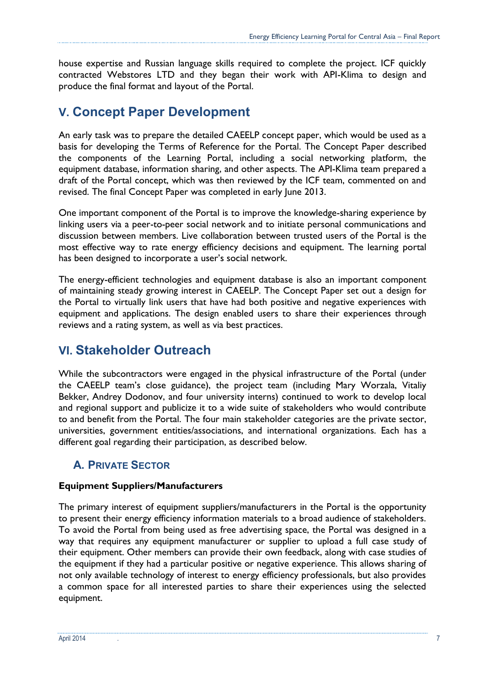house expertise and Russian language skills required to complete the project. ICF quickly contracted Webstores LTD and they began their work with API-Klima to design and produce the final format and layout of the Portal.

# <span id="page-6-0"></span>**V. Concept Paper Development**

An early task was to prepare the detailed CAEELP concept paper, which would be used as a basis for developing the Terms of Reference for the Portal. The Concept Paper described the components of the Learning Portal, including a social networking platform, the equipment database, information sharing, and other aspects. The API-Klima team prepared a draft of the Portal concept, which was then reviewed by the ICF team, commented on and revised. The final Concept Paper was completed in early June 2013.

One important component of the Portal is to improve the knowledge-sharing experience by linking users via a peer-to-peer social network and to initiate personal communications and discussion between members. Live collaboration between trusted users of the Portal is the most effective way to rate energy efficiency decisions and equipment. The learning portal has been designed to incorporate a user's social network.

The energy-efficient technologies and equipment database is also an important component of maintaining steady growing interest in CAEELP. The Concept Paper set out a design for the Portal to virtually link users that have had both positive and negative experiences with equipment and applications. The design enabled users to share their experiences through reviews and a rating system, as well as via best practices.

# <span id="page-6-1"></span>**VI. Stakeholder Outreach**

While the subcontractors were engaged in the physical infrastructure of the Portal (under the CAEELP team's close guidance), the project team (including Mary Worzala, Vitaliy Bekker, Andrey Dodonov, and four university interns) continued to work to develop local and regional support and publicize it to a wide suite of stakeholders who would contribute to and benefit from the Portal. The four main stakeholder categories are the private sector, universities, government entities/associations, and international organizations. Each has a different goal regarding their participation, as described below.

# <span id="page-6-2"></span>**A. PRIVATE SECTOR**

### **Equipment Suppliers/Manufacturers**

The primary interest of equipment suppliers/manufacturers in the Portal is the opportunity to present their energy efficiency information materials to a broad audience of stakeholders. To avoid the Portal from being used as free advertising space, the Portal was designed in a way that requires any equipment manufacturer or supplier to upload a full case study of their equipment. Other members can provide their own feedback, along with case studies of the equipment if they had a particular positive or negative experience. This allows sharing of not only available technology of interest to energy efficiency professionals, but also provides a common space for all interested parties to share their experiences using the selected equipment.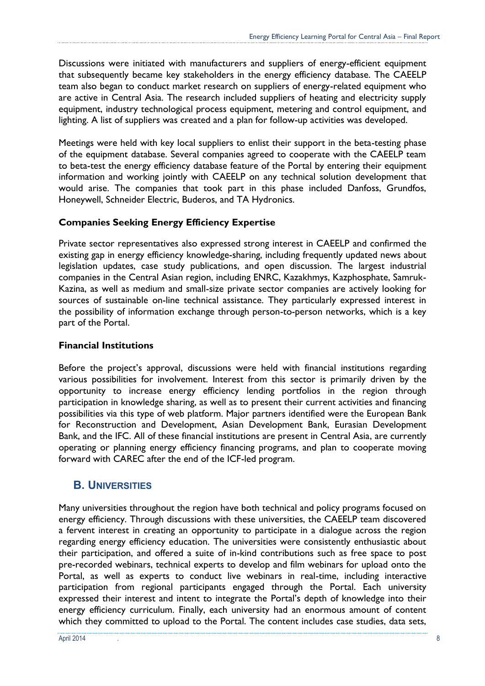Discussions were initiated with manufacturers and suppliers of energy-efficient equipment that subsequently became key stakeholders in the energy efficiency database. The CAEELP team also began to conduct market research on suppliers of energy-related equipment who are active in Central Asia. The research included suppliers of heating and electricity supply equipment, industry technological process equipment, metering and control equipment, and lighting. A list of suppliers was created and a plan for follow-up activities was developed.

Meetings were held with key local suppliers to enlist their support in the beta-testing phase of the equipment database. Several companies agreed to cooperate with the CAEELP team to beta-test the energy efficiency database feature of the Portal by entering their equipment information and working jointly with CAEELP on any technical solution development that would arise. The companies that took part in this phase included Danfoss, Grundfos, Honeywell, Schneider Electric, Buderos, and TA Hydronics.

#### **Companies Seeking Energy Efficiency Expertise**

Private sector representatives also expressed strong interest in CAEELP and confirmed the existing gap in energy efficiency knowledge-sharing, including frequently updated news about legislation updates, case study publications, and open discussion. The largest industrial companies in the Central Asian region, including ENRC, Kazakhmys, Kazphosphate, Samruk-Kazina, as well as medium and small-size private sector companies are actively looking for sources of sustainable on-line technical assistance. They particularly expressed interest in the possibility of information exchange through person-to-person networks, which is a key part of the Portal.

#### **Financial Institutions**

Before the project's approval, discussions were held with financial institutions regarding various possibilities for involvement. Interest from this sector is primarily driven by the opportunity to increase energy efficiency lending portfolios in the region through participation in knowledge sharing, as well as to present their current activities and financing possibilities via this type of web platform. Major partners identified were the European Bank for Reconstruction and Development, Asian Development Bank, Eurasian Development Bank, and the IFC. All of these financial institutions are present in Central Asia, are currently operating or planning energy efficiency financing programs, and plan to cooperate moving forward with CAREC after the end of the ICF-led program.

### <span id="page-7-0"></span>**B. UNIVERSITIES**

Many universities throughout the region have both technical and policy programs focused on energy efficiency. Through discussions with these universities, the CAEELP team discovered a fervent interest in creating an opportunity to participate in a dialogue across the region regarding energy efficiency education. The universities were consistently enthusiastic about their participation, and offered a suite of in-kind contributions such as free space to post pre-recorded webinars, technical experts to develop and film webinars for upload onto the Portal, as well as experts to conduct live webinars in real-time, including interactive participation from regional participants engaged through the Portal. Each university expressed their interest and intent to integrate the Portal's depth of knowledge into their energy efficiency curriculum. Finally, each university had an enormous amount of content which they committed to upload to the Portal. The content includes case studies, data sets,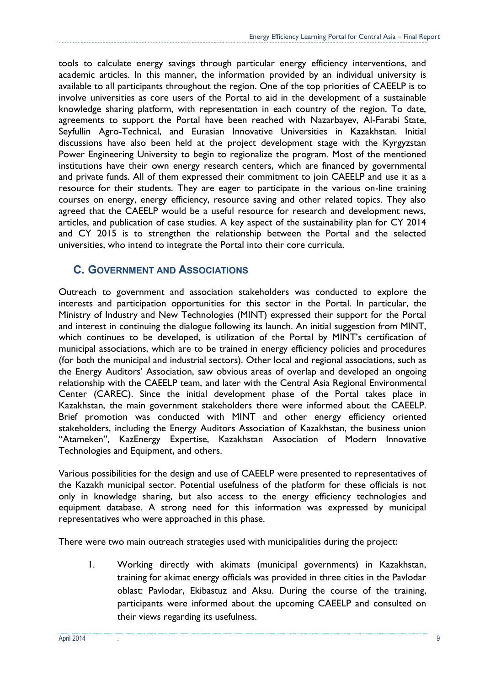tools to calculate energy savings through particular energy efficiency interventions, and academic articles. In this manner, the information provided by an individual university is available to all participants throughout the region. One of the top priorities of CAEELP is to involve universities as core users of the Portal to aid in the development of a sustainable knowledge sharing platform, with representation in each country of the region. To date, agreements to support the Portal have been reached with Nazarbayev, Al-Farabi State, Seyfullin Agro-Technical, and Eurasian Innovative Universities in Kazakhstan. Initial discussions have also been held at the project development stage with the Kyrgyzstan Power Engineering University to begin to regionalize the program. Most of the mentioned institutions have their own energy research centers, which are financed by governmental and private funds. All of them expressed their commitment to join CAEELP and use it as a resource for their students. They are eager to participate in the various on-line training courses on energy, energy efficiency, resource saving and other related topics. They also agreed that the CAEELP would be a useful resource for research and development news, articles, and publication of case studies. A key aspect of the sustainability plan for CY 2014 and CY 2015 is to strengthen the relationship between the Portal and the selected universities, who intend to integrate the Portal into their core curricula.

### <span id="page-8-0"></span>**C. GOVERNMENT AND ASSOCIATIONS**

Outreach to government and association stakeholders was conducted to explore the interests and participation opportunities for this sector in the Portal. In particular, the Ministry of Industry and New Technologies (MINT) expressed their support for the Portal and interest in continuing the dialogue following its launch. An initial suggestion from MINT, which continues to be developed, is utilization of the Portal by MINT's certification of municipal associations, which are to be trained in energy efficiency policies and procedures (for both the municipal and industrial sectors). Other local and regional associations, such as the Energy Auditors' Association, saw obvious areas of overlap and developed an ongoing relationship with the CAEELP team, and later with the Central Asia Regional Environmental Center (CAREC). Since the initial development phase of the Portal takes place in Kazakhstan, the main government stakeholders there were informed about the CAEELP. Brief promotion was conducted with MINT and other energy efficiency oriented stakeholders, including the Energy Auditors Association of Kazakhstan, the business union "Atameken", KazEnergy Expertise, Kazakhstan Association of Modern Innovative Technologies and Equipment, and others.

Various possibilities for the design and use of CAEELP were presented to representatives of the Kazakh municipal sector. Potential usefulness of the platform for these officials is not only in knowledge sharing, but also access to the energy efficiency technologies and equipment database. A strong need for this information was expressed by municipal representatives who were approached in this phase.

There were two main outreach strategies used with municipalities during the project:

1. Working directly with akimats (municipal governments) in Kazakhstan, training for akimat energy officials was provided in three cities in the Pavlodar oblast: Pavlodar, Ekibastuz and Aksu. During the course of the training, participants were informed about the upcoming CAEELP and consulted on their views regarding its usefulness.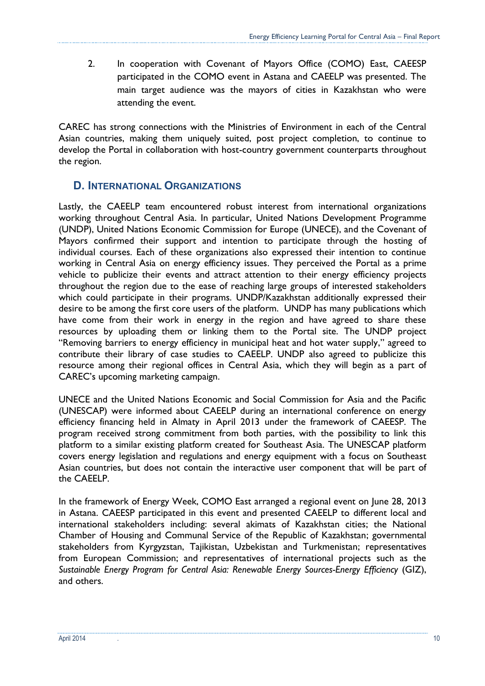2. In cooperation with Covenant of Mayors Office (COMO) East, CAEESP participated in the COMO event in Astana and CAEELP was presented. The main target audience was the mayors of cities in Kazakhstan who were attending the event.

CAREC has strong connections with the Ministries of Environment in each of the Central Asian countries, making them uniquely suited, post project completion, to continue to develop the Portal in collaboration with host-country government counterparts throughout the region.

### <span id="page-9-0"></span>**D. INTERNATIONAL ORGANIZATIONS**

Lastly, the CAEELP team encountered robust interest from international organizations working throughout Central Asia. In particular, United Nations Development Programme (UNDP), United Nations Economic Commission for Europe (UNECE), and the Covenant of Mayors confirmed their support and intention to participate through the hosting of individual courses. Each of these organizations also expressed their intention to continue working in Central Asia on energy efficiency issues. They perceived the Portal as a prime vehicle to publicize their events and attract attention to their energy efficiency projects throughout the region due to the ease of reaching large groups of interested stakeholders which could participate in their programs. UNDP/Kazakhstan additionally expressed their desire to be among the first core users of the platform. UNDP has many publications which have come from their work in energy in the region and have agreed to share these resources by uploading them or linking them to the Portal site. The UNDP project "Removing barriers to energy efficiency in municipal heat and hot water supply," agreed to contribute their library of case studies to CAEELP. UNDP also agreed to publicize this resource among their regional offices in Central Asia, which they will begin as a part of CAREC's upcoming marketing campaign.

UNECE and the United Nations Economic and Social Commission for Asia and the Pacific (UNESCAP) were informed about CAEELP during an international conference on energy efficiency financing held in Almaty in April 2013 under the framework of CAEESP. The program received strong commitment from both parties, with the possibility to link this platform to a similar existing platform created for Southeast Asia. The UNESCAP platform covers energy legislation and regulations and energy equipment with a focus on Southeast Asian countries, but does not contain the interactive user component that will be part of the CAEELP.

In the framework of Energy Week, COMO East arranged a regional event on June 28, 2013 in Astana. CAEESP participated in this event and presented CAEELP to different local and international stakeholders including: several akimats of Kazakhstan cities; the National Chamber of Housing and Communal Service of the Republic of Kazakhstan; governmental stakeholders from Kyrgyzstan, Tajikistan, Uzbekistan and Turkmenistan; representatives from European Commission; and representatives of international projects such as the *Sustainable Energy Program for Central Asia: Renewable Energy Sources-Energy Efficiency* (GIZ), and others.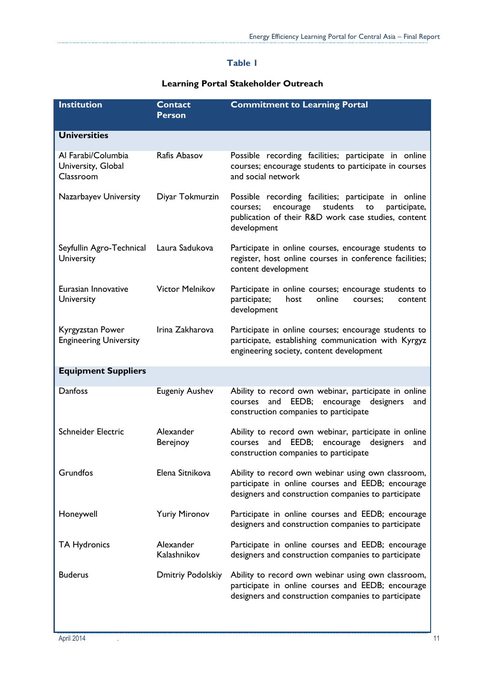### **Table 1**

### **Learning Portal Stakeholder Outreach**

| <b>Institution</b>                                    | <b>Contact</b><br><b>Person</b> | <b>Commitment to Learning Portal</b>                                                                                                                                                  |
|-------------------------------------------------------|---------------------------------|---------------------------------------------------------------------------------------------------------------------------------------------------------------------------------------|
| <b>Universities</b>                                   |                                 |                                                                                                                                                                                       |
| Al Farabi/Columbia<br>University, Global<br>Classroom | Rafis Abasov                    | Possible recording facilities; participate in online<br>courses; encourage students to participate in courses<br>and social network                                                   |
| Nazarbayev University                                 | Diyar Tokmurzin                 | Possible recording facilities; participate in online<br>students<br>encourage<br>courses;<br>to<br>participate,<br>publication of their R&D work case studies, content<br>development |
| Seyfullin Agro-Technical<br>University                | Laura Sadukova                  | Participate in online courses, encourage students to<br>register, host online courses in conference facilities;<br>content development                                                |
| Eurasian Innovative<br>University                     | <b>Victor Melnikov</b>          | Participate in online courses; encourage students to<br>participate;<br>host<br>online<br>courses:<br>content<br>development                                                          |
| Kyrgyzstan Power<br><b>Engineering University</b>     | Irina Zakharova                 | Participate in online courses; encourage students to<br>participate, establishing communication with Kyrgyz<br>engineering society, content development                               |
| <b>Equipment Suppliers</b>                            |                                 |                                                                                                                                                                                       |
| Danfoss                                               | <b>Eugeniy Aushev</b>           | Ability to record own webinar, participate in online<br>EEDB;<br>encourage designers<br>courses<br>and<br>and<br>construction companies to participate                                |
| Schneider Electric                                    | Alexander<br>Berejnoy           | Ability to record own webinar, participate in online<br>and EEDB;<br>encourage<br>designers<br>courses<br>and<br>construction companies to participate                                |
| Grundfos                                              | Elena Sitnikova                 | Ability to record own webinar using own classroom,<br>participate in online courses and EEDB; encourage<br>designers and construction companies to participate                        |
| Honeywell                                             | <b>Yuriy Mironov</b>            | Participate in online courses and EEDB; encourage<br>designers and construction companies to participate                                                                              |
| <b>TA Hydronics</b>                                   | Alexander<br>Kalashnikov        | Participate in online courses and EEDB; encourage<br>designers and construction companies to participate                                                                              |
| <b>Buderus</b>                                        | Dmitriy Podolskiy               | Ability to record own webinar using own classroom,<br>participate in online courses and EEDB; encourage<br>designers and construction companies to participate                        |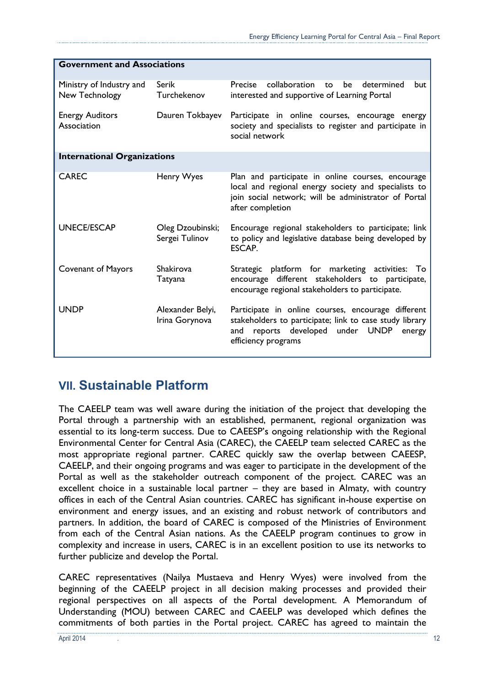| <b>Government and Associations</b>         |                                    |                                                                                                                                                                                       |  |  |  |
|--------------------------------------------|------------------------------------|---------------------------------------------------------------------------------------------------------------------------------------------------------------------------------------|--|--|--|
| Ministry of Industry and<br>New Technology | Serik<br>Turchekenov               | Precise<br>collaboration<br>determined<br>be<br>to<br>but<br>interested and supportive of Learning Portal                                                                             |  |  |  |
| <b>Energy Auditors</b><br>Association      | Dauren Tokbayev                    | Participate in online courses, encourage energy<br>society and specialists to register and participate in<br>social network                                                           |  |  |  |
| <b>International Organizations</b>         |                                    |                                                                                                                                                                                       |  |  |  |
| <b>CAREC</b>                               | Henry Wyes                         | Plan and participate in online courses, encourage<br>local and regional energy society and specialists to<br>join social network; will be administrator of Portal<br>after completion |  |  |  |
| <b>UNECE/ESCAP</b>                         | Oleg Dzoubinski;<br>Sergei Tulinov | Encourage regional stakeholders to participate; link<br>to policy and legislative database being developed by<br>ESCAP.                                                               |  |  |  |
| <b>Covenant of Mayors</b>                  | <b>Shakirova</b><br>Tatyana        | Strategic platform for marketing activities: To<br>encourage different stakeholders to participate,<br>encourage regional stakeholders to participate.                                |  |  |  |
| <b>UNDP</b>                                | Alexander Belyi,<br>Irina Gorynova | Participate in online courses, encourage different<br>stakeholders to participate; link to case study library<br>and reports developed under UNDP<br>energy<br>efficiency programs    |  |  |  |

# <span id="page-11-0"></span>**VII. Sustainable Platform**

The CAEELP team was well aware during the initiation of the project that developing the Portal through a partnership with an established, permanent, regional organization was essential to its long-term success. Due to CAEESP's ongoing relationship with the Regional Environmental Center for Central Asia (CAREC), the CAEELP team selected CAREC as the most appropriate regional partner. CAREC quickly saw the overlap between CAEESP, CAEELP, and their ongoing programs and was eager to participate in the development of the Portal as well as the stakeholder outreach component of the project. CAREC was an excellent choice in a sustainable local partner – they are based in Almaty, with country offices in each of the Central Asian countries. CAREC has significant in-house expertise on environment and energy issues, and an existing and robust network of contributors and partners. In addition, the board of CAREC is composed of the Ministries of Environment from each of the Central Asian nations. As the CAEELP program continues to grow in complexity and increase in users, CAREC is in an excellent position to use its networks to further publicize and develop the Portal.

CAREC representatives (Nailya Mustaeva and Henry Wyes) were involved from the beginning of the CAEELP project in all decision making processes and provided their regional perspectives on all aspects of the Portal development. A Memorandum of Understanding (MOU) between CAREC and CAEELP was developed which defines the commitments of both parties in the Portal project. CAREC has agreed to maintain the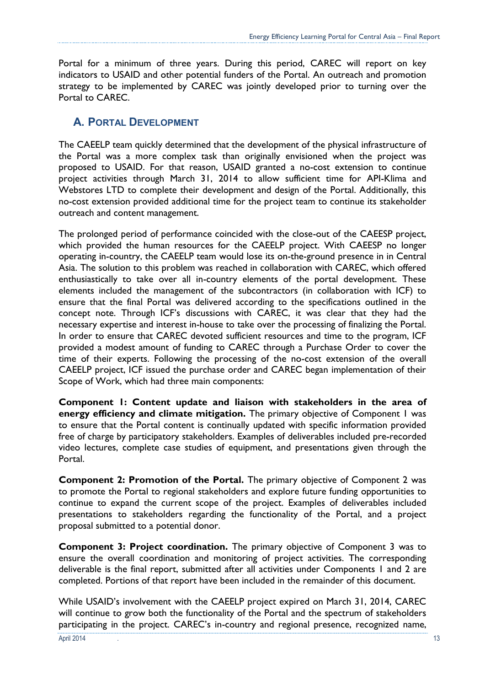Portal for a minimum of three years. During this period, CAREC will report on key indicators to USAID and other potential funders of the Portal. An outreach and promotion strategy to be implemented by CAREC was jointly developed prior to turning over the Portal to CAREC.

## <span id="page-12-0"></span>**A. PORTAL DEVELOPMENT**

The CAEELP team quickly determined that the development of the physical infrastructure of the Portal was a more complex task than originally envisioned when the project was proposed to USAID. For that reason, USAID granted a no-cost extension to continue project activities through March 31, 2014 to allow sufficient time for API-Klima and Webstores LTD to complete their development and design of the Portal. Additionally, this no-cost extension provided additional time for the project team to continue its stakeholder outreach and content management.

The prolonged period of performance coincided with the close-out of the CAEESP project, which provided the human resources for the CAEELP project. With CAEESP no longer operating in-country, the CAEELP team would lose its on-the-ground presence in in Central Asia. The solution to this problem was reached in collaboration with CAREC, which offered enthusiastically to take over all in-country elements of the portal development. These elements included the management of the subcontractors (in collaboration with ICF) to ensure that the final Portal was delivered according to the specifications outlined in the concept note. Through ICF's discussions with CAREC, it was clear that they had the necessary expertise and interest in-house to take over the processing of finalizing the Portal. In order to ensure that CAREC devoted sufficient resources and time to the program, ICF provided a modest amount of funding to CAREC through a Purchase Order to cover the time of their experts. Following the processing of the no-cost extension of the overall CAEELP project, ICF issued the purchase order and CAREC began implementation of their Scope of Work, which had three main components:

**Component 1: Content update and liaison with stakeholders in the area of energy efficiency and climate mitigation.** The primary objective of Component 1 was to ensure that the Portal content is continually updated with specific information provided free of charge by participatory stakeholders. Examples of deliverables included pre-recorded video lectures, complete case studies of equipment, and presentations given through the Portal.

**Component 2: Promotion of the Portal.** The primary objective of Component 2 was to promote the Portal to regional stakeholders and explore future funding opportunities to continue to expand the current scope of the project. Examples of deliverables included presentations to stakeholders regarding the functionality of the Portal, and a project proposal submitted to a potential donor.

**Component 3: Project coordination.** The primary objective of Component 3 was to ensure the overall coordination and monitoring of project activities. The corresponding deliverable is the final report, submitted after all activities under Components 1 and 2 are completed. Portions of that report have been included in the remainder of this document.

While USAID's involvement with the CAEELP project expired on March 31, 2014, CAREC will continue to grow both the functionality of the Portal and the spectrum of stakeholders participating in the project. CAREC's in-country and regional presence, recognized name,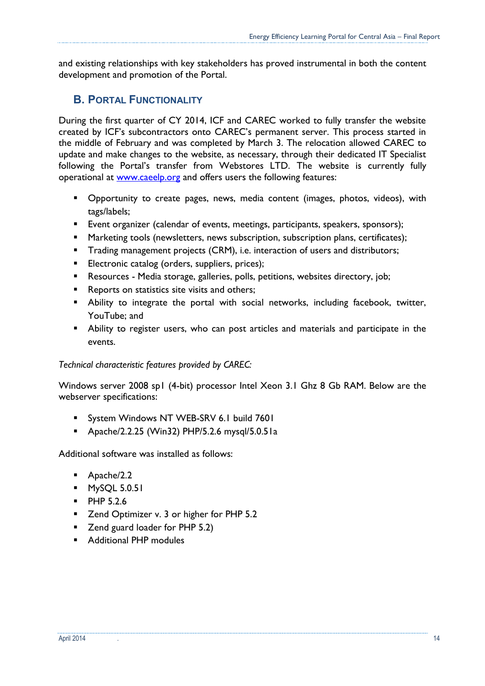and existing relationships with key stakeholders has proved instrumental in both the content development and promotion of the Portal.

## <span id="page-13-0"></span>**B. PORTAL FUNCTIONALITY**

During the first quarter of CY 2014, ICF and CAREC worked to fully transfer the website created by ICF's subcontractors onto CAREC's permanent server. This process started in the middle of February and was completed by March 3. The relocation allowed CAREC to update and make changes to the website, as necessary, through their dedicated IT Specialist following the Portal's transfer from Webstores LTD. The website is currently fully operational at [www.caeelp.org](http://www.caeelp.org/) and offers users the following features:

- Opportunity to create pages, news, media content (images, photos, videos), with tags/labels;
- Event organizer (calendar of events, meetings, participants, speakers, sponsors);
- Marketing tools (newsletters, news subscription, subscription plans, certificates);
- **Trading management projects (CRM), i.e. interaction of users and distributors;**
- **Electronic catalog (orders, suppliers, prices);**
- **Resources Media storage, galleries, polls, petitions, websites directory, job;**
- Reports on statistics site visits and others;
- Ability to integrate the portal with social networks, including facebook, twitter, YouTube; and
- Ability to register users, who can post articles and materials and participate in the events.

#### *Technical characteristic features provided by CAREC:*

Windows server 2008 sp1 (4-bit) processor Intel Xeon 3.1 Ghz 8 Gb RAM. Below are the webserver specifications:

- System Windows NT WEB-SRV 6.1 build 7601
- Apache/2.2.25 (Win32) PHP/5.2.6 mysql/5.0.51a

Additional software was installed as follows:

- Apache/2.2
- **MySQL 5.0.51**
- **PHP 5.2.6**
- Zend Optimizer v. 3 or higher for PHP 5.2
- Zend guard loader for PHP 5.2)
- **Additional PHP modules**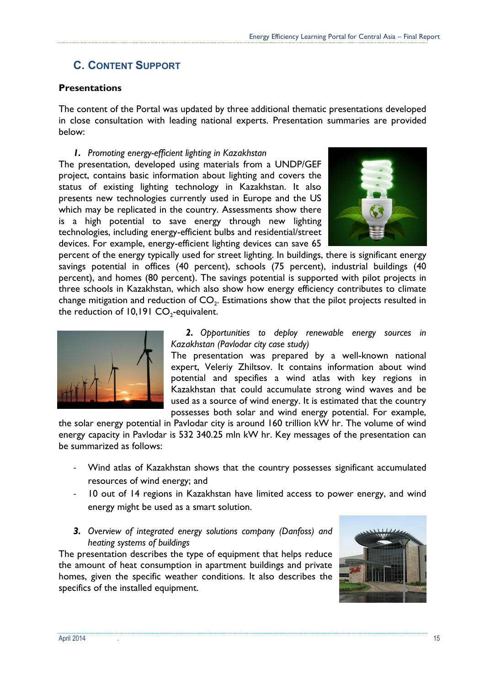# <span id="page-14-0"></span>**C. CONTENT SUPPORT**

### **Presentations**

The content of the Portal was updated by three additional thematic presentations developed in close consultation with leading national experts. Presentation summaries are provided below:

#### *1. Promoting energy-efficient lighting in Kazakhstan*

The presentation, developed using materials from a UNDP/GEF project, contains basic information about lighting and covers the status of existing lighting technology in Kazakhstan. It also presents new technologies currently used in Europe and the US which may be replicated in the country. Assessments show there is a high potential to save energy through new lighting technologies, including energy-efficient bulbs and residential/street devices. For example, energy-efficient lighting devices can save 65



percent of the energy typically used for street lighting. In buildings, there is significant energy savings potential in offices (40 percent), schools (75 percent), industrial buildings (40 percent), and homes (80 percent). The savings potential is supported with pilot projects in three schools in Kazakhstan, which also show how energy efficiency contributes to climate change mitigation and reduction of  $\mathsf{CO}_2$ . Estimations show that the pilot projects resulted in the reduction of  $10,191$   $CO_2$ -equivalent.



*2. Opportunities to deploy renewable energy sources in Kazakhstan (Pavlodar city case study)*

The presentation was prepared by a well-known national expert, Veleriy Zhiltsov. It contains information about wind potential and specifies a wind atlas with key regions in Kazakhstan that could accumulate strong wind waves and be used as a source of wind energy. It is estimated that the country possesses both solar and wind energy potential. For example,

the solar energy potential in Pavlodar city is around 160 trillion kW hr. The volume of wind energy capacity in Pavlodar is 532 340.25 mln kW hr. Key messages of the presentation can be summarized as follows:

- Wind atlas of Kazakhstan shows that the country possesses significant accumulated resources of wind energy; and
- 10 out of 14 regions in Kazakhstan have limited access to power energy, and wind energy might be used as a smart solution.
- *3. Overview of integrated energy solutions company (Danfoss) and heating systems of buildings*

The presentation describes the type of equipment that helps reduce the amount of heat consumption in apartment buildings and private homes, given the specific weather conditions. It also describes the specifics of the installed equipment.

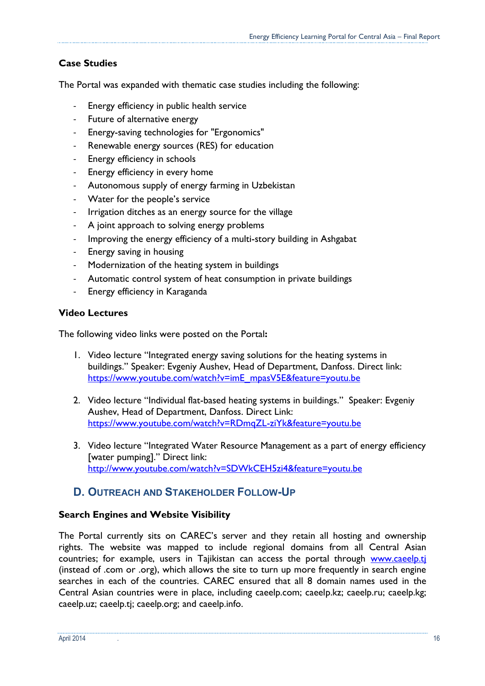### **Case Studies**

The Portal was expanded with thematic case studies including the following:

- Energy efficiency in public health service
- Future of alternative energy
- Energy-saving technologies for "Ergonomics"
- Renewable energy sources (RES) for education
- Energy efficiency in schools
- Energy efficiency in every home
- Autonomous supply of energy farming in Uzbekistan
- Water for the people's service
- Irrigation ditches as an energy source for the village
- A joint approach to solving energy problems
- Improving the energy efficiency of a multi-story building in Ashgabat
- Energy saving in housing
- Modernization of the heating system in buildings
- Automatic control system of heat consumption in private buildings
- Energy efficiency in Karaganda

#### **Video Lectures**

The following video links were posted on the Portal**:** 

- 1. Video lecture "Integrated energy saving solutions for the heating systems in buildings." Speaker: Evgeniy Aushev, Head of Department, Danfoss. Direct link: [https://www.youtube.com/watch?v=imE\\_mpasV5E&feature=youtu.be](https://www.youtube.com/watch?v=imE_mpasV5E&feature=youtu.be)
- 2. Video lecture "Individual flat-based heating systems in buildings." Speaker: Evgeniy Aushev, Head of Department, Danfoss. Direct Link: <https://www.youtube.com/watch?v=RDmqZL-ziYk&feature=youtu.be>
- 3. Video lecture "Integrated Water Resource Management as a part of energy efficiency [water pumping]." Direct link: <http://www.youtube.com/watch?v=SDWkCEH5zi4&feature=youtu.be>

### <span id="page-15-0"></span>**D. OUTREACH AND STAKEHOLDER FOLLOW-UP**

### **Search Engines and Website Visibility**

The Portal currently sits on CAREC's server and they retain all hosting and ownership rights. The website was mapped to include regional domains from all Central Asian countries; for example, users in Tajikistan can access the portal through [www.caeelp.tj](file:///C:/Users/27330/AppData/Local/Microsoft/Windows/Temporary%20Internet%20Files/Content.Outlook/K7C5R60G/www.caeelp.tj) (instead of .com or .org), which allows the site to turn up more frequently in search engine searches in each of the countries. CAREC ensured that all 8 domain names used in the Central Asian countries were in place, including caeelp.com; caeelp.kz; caeelp.ru; caeelp.kg; caeelp.uz; caeelp.tj; caeelp.org; and caeelp.info.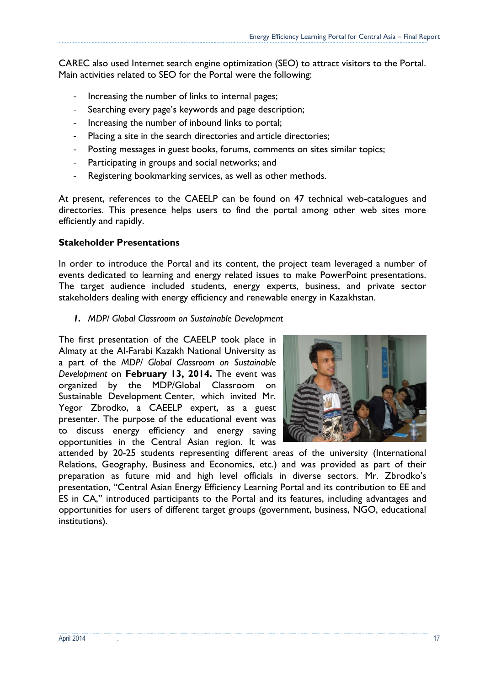CAREC also used Internet search engine optimization (SEO) to attract visitors to the Portal. Main activities related to SEO for the Portal were the following:

- Increasing the number of links to internal pages;
- Searching every page's keywords and page description;
- Increasing the number of inbound links to portal;
- Placing a site in the search directories and article directories;
- Posting messages in guest books, forums, comments on sites similar topics;
- Participating in groups and social networks; and
- Registering bookmarking services, as well as other methods.

At present, references to the CAEELP can be found on 47 technical web-catalogues and directories. This presence helps users to find the portal among other web sites more efficiently and rapidly.

#### **Stakeholder Presentations**

In order to introduce the Portal and its content, the project team leveraged a number of events dedicated to learning and energy related issues to make PowerPoint presentations. The target audience included students, energy experts, business, and private sector stakeholders dealing with energy efficiency and renewable energy in Kazakhstan.

*1. MDP/ Global Classroom on Sustainable Development*

The first presentation of the CAEELP took place in Almaty at the Al-Farabi Kazakh National University as a part of the *MDP/ Global Classroom on Sustainable Development* on **February 13, 2014.** The event was organized by the MDP/Global Classroom on Sustainable Development Center, which invited Mr. Yegor Zbrodko, a CAEELP expert, as a guest presenter. The purpose of the educational event was to discuss energy efficiency and energy saving opportunities in the Central Asian region. It was



attended by 20-25 students representing different areas of the university (International Relations, Geography, Business and Economics, etc.) and was provided as part of their preparation as future mid and high level officials in diverse sectors. Mr. Zbrodko's presentation, "Central Asian Energy Efficiency Learning Portal and its contribution to EE and ES in CA," introduced participants to the Portal and its features, including advantages and opportunities for users of different target groups (government, business, NGO, educational institutions).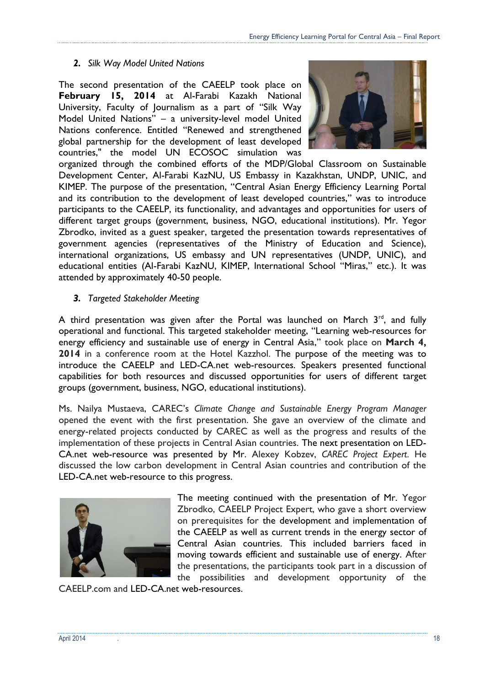### *2. Silk Way Model United Nations*

The second presentation of the CAEELP took place on **February 15, 2014** at Al-Farabi Kazakh National University, Faculty of Journalism as a part of "Silk Way Model United Nations" – a university-level model United Nations conference. Entitled "Renewed and strengthened global partnership for the development of least developed countries," the model UN ECOSOC simulation was



organized through the combined efforts of the MDP/Global Classroom on Sustainable Development Center, Al-Farabi KazNU, US Embassy in Kazakhstan, UNDP, UNIC, and KIMEP. The purpose of the presentation, "Central Asian Energy Efficiency Learning Portal and its contribution to the development of least developed countries," was to introduce participants to the CAEELP, its functionality, and advantages and opportunities for users of different target groups (government, business, NGO, educational institutions). Mr. Yegor Zbrodko, invited as a guest speaker, targeted the presentation towards representatives of government agencies (representatives of the Ministry of Education and Science), international organizations, US embassy and UN representatives (UNDP, UNIC), and educational entities (Al-Farabi KazNU, KIMEP, International School "Miras," etc.). It was attended by approximately 40-50 people.

### *3. Targeted Stakeholder Meeting*

A third presentation was given after the Portal was launched on March  $3<sup>rd</sup>$ , and fully operational and functional. This targeted stakeholder meeting, "Learning web-resources for energy efficiency and sustainable use of energy in Central Asia," took place on **March 4, 2014** in a conference room at the Hotel Kazzhol. The purpose of the meeting was to introduce the CAEELP and LED-CA.net web-resources. Speakers presented functional capabilities for both resources and discussed opportunities for users of different target groups (government, business, NGO, educational institutions).

Ms. Nailya Mustaeva, CAREC's *Climate Change and Sustainable Energy Program Manager* opened the event with the first presentation. She gave an overview of the climate and energy-related projects conducted by CAREC as well as the progress and results of the implementation of these projects in Central Asian countries. The next presentation on LED-CA.net web-resource was presented by Mr. Alexey Kobzev, *CAREC Project Expert*. He discussed the low carbon development in Central Asian countries and contribution of the LED-CA.net web-resource to this progress.



The meeting continued with the presentation of Mr. Yegor Zbrodko, CAEELP Project Expert, who gave a short overview on prerequisites for the development and implementation of the CAEELP as well as current trends in the energy sector of Central Asian countries. This included barriers faced in moving towards efficient and sustainable use of energy. After the presentations, the participants took part in a discussion of the possibilities and development opportunity of the

CAEELP.com and LED-CA.net web-resources.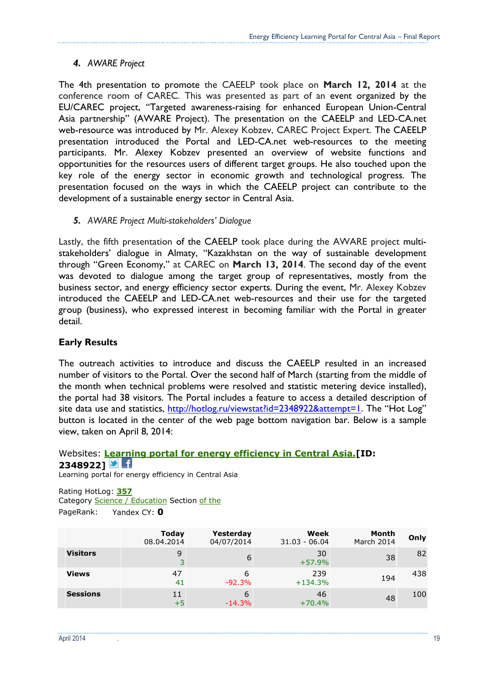#### *4. AWARE Project*

The 4th presentation to promote the CAEELP took place on **March 12, 2014** at the conference room of CAREC. This was presented as part of an event organized by the EU/CAREC project, "Targeted awareness-raising for enhanced European Union-Central Asia partnership" (AWARE Project). The presentation on the CAEELP and LED-CA.net web-resource was introduced by Mr. Alexey Kobzev, CAREC Project Expert. The CAEELP presentation introduced the Portal and LED-CA.net web-resources to the meeting participants. Mr. Alexey Kobzev presented an overview of website functions and opportunities for the resources users of different target groups. He also touched upon the key role of the energy sector in economic growth and technological progress. The presentation focused on the ways in which the CAEELP project can contribute to the development of a sustainable energy sector in Central Asia.

*5. AWARE Project Multi-stakeholders' Dialogue*

Lastly, the fifth presentation of the CAEELP took place during the AWARE project multistakeholders' dialogue in Almaty, "Kazakhstan on the way of sustainable development through "Green Economy," at CAREC on **March 13, 2014**. The second day of the event was devoted to dialogue among the target group of representatives, mostly from the business sector, and energy efficiency sector experts. During the event, Mr. Alexey Kobzev introduced the CAEELP and LED-CA.net web-resources and their use for the targeted group (business), who expressed interest in becoming familiar with the Portal in greater detail.

#### **Early Results**

The outreach activities to introduce and discuss the CAEELP resulted in an increased number of visitors to the Portal. Over the second half of March (starting from the middle of the month when technical problems were resolved and statistic metering device installed), the portal had 38 visitors. The Portal includes a feature to access a detailed description of site data use and statistics,<http://hotlog.ru/viewstat?id=2348922&attempt=1>. The "Hot Log" button is located in the center of the web page bottom navigation bar. Below is a sample view, taken on April 8, 2014:

#### Websites: **[Learning portal for energy efficiency in Central Asia.\[](http://caeelp.com/)ID: 2348922]**

Learning portal for energy efficiency in Central Asia

Rating HotLog: **[357](http://hotlog.ru/top/cat?id=70060&page=15)** Category [Science / Education](http://hotlog.ru/top/cat?id=70000) Section [of the](http://hotlog.ru/top/topcat?id=70060) PageRank: Yandex CY: **0**

|                 | Today<br>08.04.2014 | Yesterday<br>04/07/2014 | Week<br>$31.03 - 06.04$ | Month<br>March 2014 | Only |
|-----------------|---------------------|-------------------------|-------------------------|---------------------|------|
| <b>Visitors</b> | 9                   | 6                       | 30<br>$+57.9%$          | 38                  | 82   |
| <b>Views</b>    | 47<br>41            | 6<br>$-92.3%$           | 239<br>$+134.3%$        | 194                 | 438  |
| <b>Sessions</b> | 11<br>$+5$          | 6<br>$-14.3%$           | 46<br>$+70.4%$          | 48                  | 100  |